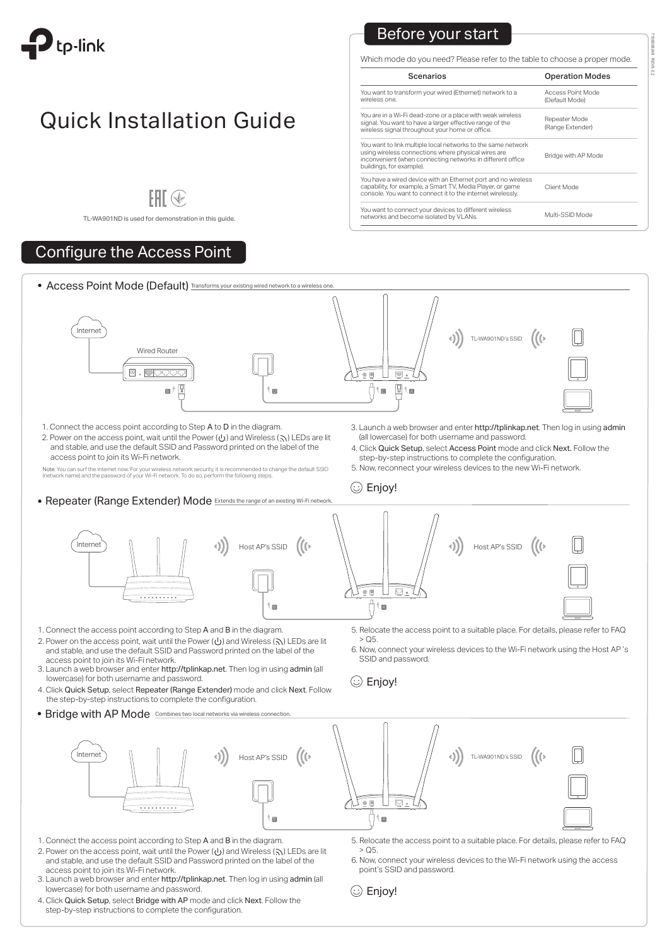

# **Quick Installation Guide**

# $HH$   $\circledast$

7106508248 REV5.0.2

### Before your start

# Configure the Access Point

Which mode do you need? Please refer to the table to choose a proper mode.

| <b>Scenarios</b>                                                                                                                                                                                              | <b>Operation Modes</b>              |
|---------------------------------------------------------------------------------------------------------------------------------------------------------------------------------------------------------------|-------------------------------------|
| You want to transform your wired (Ethernet) network to a<br>wireless one.                                                                                                                                     | Access Point Mode<br>(Default Mode) |
| You are in a Wi-Fi dead-zone or a place with weak wireless<br>signal. You want to have a larger effective range of the<br>wireless signal throughout your home or office.                                     | Repeater Mode<br>(Range Extender)   |
| You want to link multiple local networks to the same network<br>using wireless connections where physical wires are<br>inconvenient (when connecting networks in different office<br>buildings, for example). | Bridge with AP Mode                 |
| You have a wired device with an Ethernet port and no wireless<br>capability, for example, a Smart TV, Media Player, or game<br>console. You want to connect it to the internet wirelessly.                    | Client Mode                         |
| You want to connect your devices to different wireless<br>networks and become isolated by VLANs.                                                                                                              | Multi-SSID Mode                     |



- 2. Power on the access point, wait until the Power  $($   $\cup$ ) and Wireless ( $\setminus$ ) LEDs are lit and stable, and use the default SSID and Password printed on the label of the access point to join its Wi-Fi network.
- 3. Launch a web browser and enter http://tplinkap.net. Then log in using admin (all lowercase) for both username and password.
- 4. Click Quick Setup, select Repeater (Range Extender) mode and click Next. Follow the step-by-step instructions to complete the configuration.
- Bridge with AP Mode Combines two lo
- $>$  Q5.
- 6. Now, connect your wireless devices to the Wi-Fi network using the Host AP 's SSID and password.

Note: You can surf the internet now. For your wireless network security, it is recommended to change the default SSID (network name) and the password of your Wi-Fi network. To do so, perform the following steps.

**• Repeater (Range Extender) Mode** Extends the range of an existing Wi-Fi network

5. Relocate the access point to a suitable place. For details, please refer to FAQ  $>$  Q5.

- 4. Click Quick Setup, select Access Point mode and click Next. Follow the step-by-step instructions to complete the configuration.
- 5. Now, reconnect your wireless devices to the new Wi-Fi network.

 $\circled{c}$  Enjoy!

and stable, and use the default SSID and Password printed on the label of the access point to join its Wi-Fi network.







- 1. Connect the access point according to Step A and B in the diagram.
- 2. Power on the access point, wait until the Power ( $\bigcup$ ) and Wireless ( $\bigcap$ ) LEDs are lit and stable, and use the default SSID and Password printed on the label of the access point to join its Wi-Fi network.
- 3. Launch a web browser and enter http://tplinkap.net. Then log in using admin (all lowercase) for both username and password.
- 4. Click Quick Setup, select Bridge with AP mode and click Next. Follow the step-by-step instructions to complete the configuration.

6. Now, connect your wireless devices to the Wi-Fi network using the access point's SSID and password.



TL-WA901ND is used for demonstration in this guide.